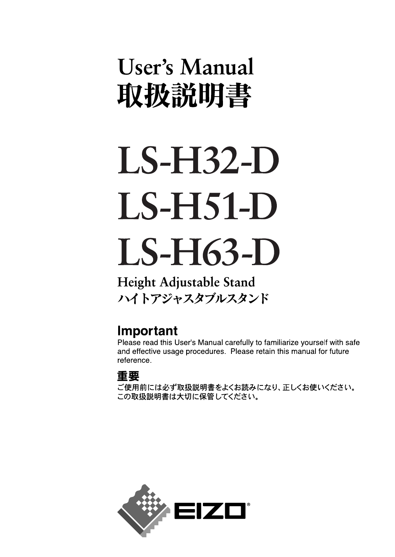## User's Manual 取扱説明書

# **LS-H32-D LS-H51-D**  $LS-H63-D$

Height Adjustable Stand ハイトアジャスタブルスタンド

## Important

Please read this User's Manual carefully to familiarize yourself with safe and effective usage procedures. Please retain this manual for future reference.

## 重要

ご使用前には必ず取扱説明書をよくお読みになり、正しくお使いください。 この取扱説明書は大切に保管してください。

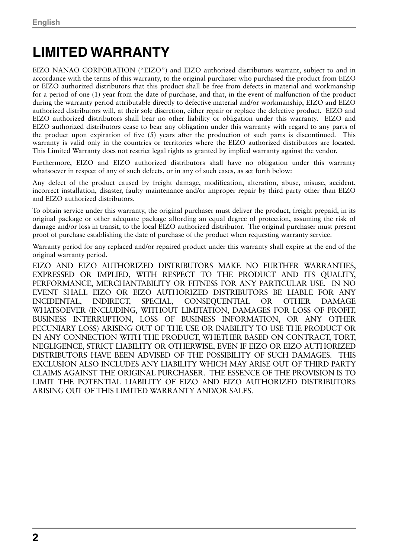## **LIMITED WARRANTY**

EIZO NANAO CORPORATION ("EIZO") and EIZO authorized distributors warrant, subject to and in accordance with the terms of this warranty, to the original purchaser who purchased the product from EIZO or EIZO authorized distributors that this product shall be free from defects in material and workmanship for a period of one (1) year from the date of purchase, and that, in the event of malfunction of the product during the warranty period attributable directly to defective material and/or workmanship, EIZO and EIZO authorized distributors will, at their sole discretion, either repair or replace the defective product. EIZO and EIZO authorized distributors shall bear no other liability or obligation under this warranty. EIZO and EIZO authorized distributors cease to bear any obligation under this warranty with regard to any parts of the product upon expiration of five (5) years after the production of such parts is discontinued. This warranty is valid only in the countries or territories where the EIZO authorized distributors are located. This Limited Warranty does not restrict legal rights as granted by implied warranty against the vendor.

Furthermore, EIZO and EIZO authorized distributors shall have no obligation under this warranty whatsoever in respect of any of such defects, or in any of such cases, as set forth below:

Any defect of the product caused by freight damage, modification, alteration, abuse, misuse, accident, incorrect installation, disaster, faulty maintenance and/or improper repair by third party other than EIZO and EIZO authorized distributors.

To obtain service under this warranty, the original purchaser must deliver the product, freight prepaid, in its original package or other adequate package affording an equal degree of protection, assuming the risk of damage and/or loss in transit, to the local EIZO authorized distributor. The original purchaser must present proof of purchase establishing the date of purchase of the product when requesting warranty service.

Warranty period for any replaced and/or repaired product under this warranty shall expire at the end of the original warranty period.

EIZO AND EIZO AUTHORIZED DISTRIBUTORS MAKE NO FURTHER WARRANTIES, EXPRESSED OR IMPLIED, WITH RESPECT TO THE PRODUCT AND ITS QUALITY, PERFORMANCE, MERCHANTABILITY OR FITNESS FOR ANY PARTICULAR USE. IN NO EVENT SHALL EIZO OR EIZO AUTHORIZED DISTRIBUTORS BE LIABLE FOR ANY INCIDENTAL, INDIRECT, SPECIAL, CONSEQUENTIAL OR OTHER DAMAGE WHATSOEVER (INCLUDING, WITHOUT LIMITATION, DAMAGES FOR LOSS OF PROFIT, BUSINESS INTERRUPTION, LOSS OF BUSINESS INFORMATION, OR ANY OTHER PECUNIARY LOSS) ARISING OUT OF THE USE OR INABILITY TO USE THE PRODUCT OR IN ANY CONNECTION WITH THE PRODUCT, WHETHER BASED ON CONTRACT, TORT, NEGLIGENCE, STRICT LIABILITY OR OTHERWISE, EVEN IF EIZO OR EIZO AUTHORIZED DISTRIBUTORS HAVE BEEN ADVISED OF THE POSSIBILITY OF SUCH DAMAGES. THIS EXCLUSION ALSO INCLUDES ANY LIABILITY WHICH MAY ARISE OUT OF THIRD PARTY CLAIMS AGAINST THE ORIGINAL PURCHASER. THE ESSENCE OF THE PROVISION IS TO LIMIT THE POTENTIAL LIABILITY OF EIZO AND EIZO AUTHORIZED DISTRIBUTORS ARISING OUT OF THIS LIMITED WARRANTY AND/OR SALES.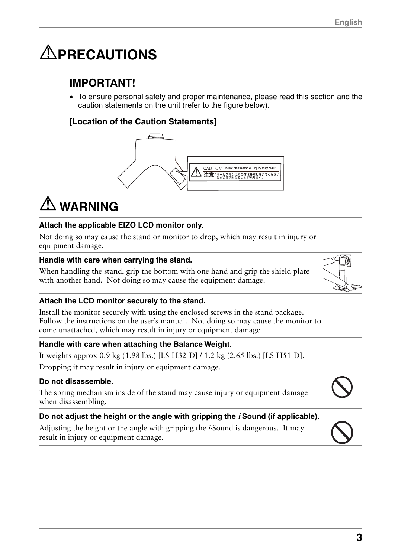## **APRECAUTIONS**

## **IMPORTANT!**

• To ensure personal safety and proper maintenance, please read this section and the caution statements on the unit (refer to the figure below).

#### **[Location of the Caution Statements]**



## $\Lambda$  WARNING

#### **Attach the applicable EIZO LCD monitor only.**

Not doing so may cause the stand or monitor to drop, which may result in injury or equipment damage.

#### **Handle with care when carrying the stand.**

When handling the stand, grip the bottom with one hand and grip the shield plate with another hand. Not doing so may cause the equipment damage.



#### **Attach the LCD monitor securely to the stand.**

Install the monitor securely with using the enclosed screws in the stand package. Follow the instructions on the user's manual. Not doing so may cause the monitor to come unattached, which may result in injury or equipment damage.

#### **Handle with care when attaching the Balance Weight.**

It weights approx 0.9 kg (1.98 lbs.) [LS-H32-D] / 1.2 kg (2.65 lbs.) [LS-H51-D].

Dropping it may result in injury or equipment damage.

#### **Do not disassemble.**

The spring mechanism inside of the stand may cause injury or equipment damage when disassembling.

#### **Do not adjust the height or the angle with gripping the** *i***Sound (if applicable).**

Adjusting the height or the angle with gripping the *i*-Sound is dangerous. It may result in injury or equipment damage.

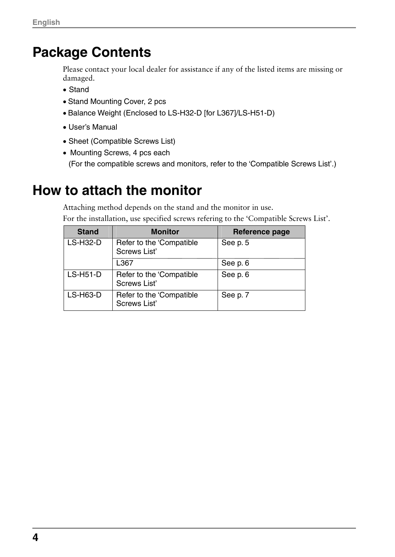## **Package Contents**

Please contact your local dealer for assistance if any of the listed items are missing or damaged.

- Stand
- Stand Mounting Cover, 2 pcs
- Balance Weight (Enclosed to LS-H32-D [for L367]/LS-H51-D)
- User's Manual
- Sheet (Compatible Screws List)
- Mounting Screws, 4 pcs each

(For the compatible screws and monitors, refer to the 'Compatible Screws List'.)

## **How to attach the monitor**

Attaching method depends on the stand and the monitor in use. For the installation, use specified screws refering to the 'Compatible Screws List'.

| <b>Stand</b>    | <b>Monitor</b>                           | Reference page |
|-----------------|------------------------------------------|----------------|
| <b>LS-H32-D</b> | Refer to the 'Compatible<br>Screws List' | See p. 5       |
|                 | L367                                     | See p. 6       |
| <b>LS-H51-D</b> | Refer to the 'Compatible<br>Screws List' | See p. 6       |
| <b>LS-H63-D</b> | Refer to the 'Compatible<br>Screws List' | See p. 7       |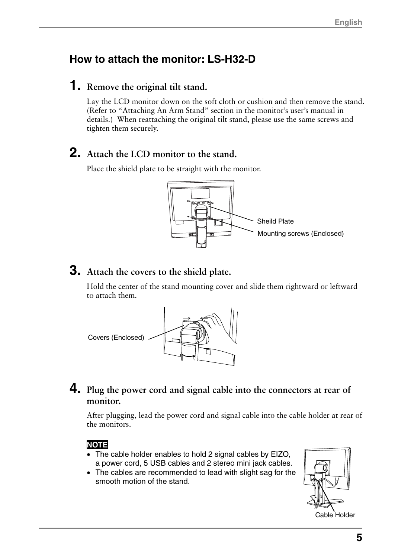## **How to attach the monitor: LS-H32-D**

## **1. Remove the original tilt stand.**

Lay the LCD monitor down on the soft cloth or cushion and then remove the stand. (Refer to "Attaching An Arm Stand" section in the monitor's user's manual in details.) When reattaching the original tilt stand, please use the same screws and tighten them securely.

## **2. Attach the LCD monitor to the stand.**

Place the shield plate to be straight with the monitor.



## **3. Attach the covers to the shield plate.**

Hold the center of the stand mounting cover and slide them rightward or leftward to attach them.



## **4. Plug the power cord and signal cable into the connectors at rear of monitor.**

After plugging, lead the power cord and signal cable into the cable holder at rear of the monitors.

#### **NOTE**

- The cable holder enables to hold 2 signal cables by EIZO, a power cord, 5 USB cables and 2 stereo mini jack cables.
- The cables are recommended to lead with slight sag for the smooth motion of the stand.



Cable Holder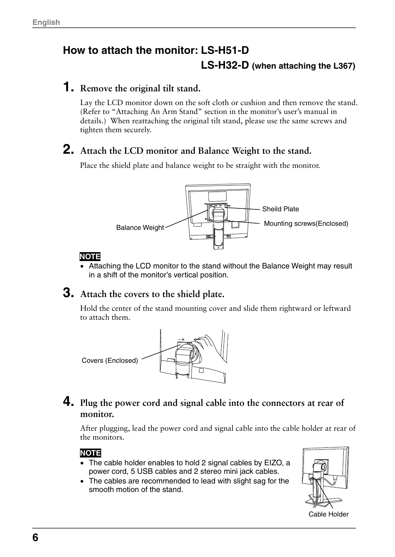## **How to attach the monitor: LS-H51-D LS-H32-D (when attaching the L367)**

## **1. Remove the original tilt stand.**

Lay the LCD monitor down on the soft cloth or cushion and then remove the stand. (Refer to "Attaching An Arm Stand" section in the monitor's user's manual in details.) When reattaching the original tilt stand, please use the same screws and tighten them securely.

## **2. Attach the LCD monitor and Balance Weight to the stand.**

Place the shield plate and balance weight to be straight with the monitor.



## **NOTE**

• Attaching the LCD monitor to the stand without the Balance Weight may result in a shift of the monitor's vertical position.

## **3. Attach the covers to the shield plate.**

Hold the center of the stand mounting cover and slide them rightward or leftward to attach them.



## **4. Plug the power cord and signal cable into the connectors at rear of monitor.**

After plugging, lead the power cord and signal cable into the cable holder at rear of the monitors.

## **NOTE**

- The cable holder enables to hold 2 signal cables by EIZO, a power cord, 5 USB cables and 2 stereo mini jack cables.
- The cables are recommended to lead with slight sag for the smooth motion of the stand.



Cable Holder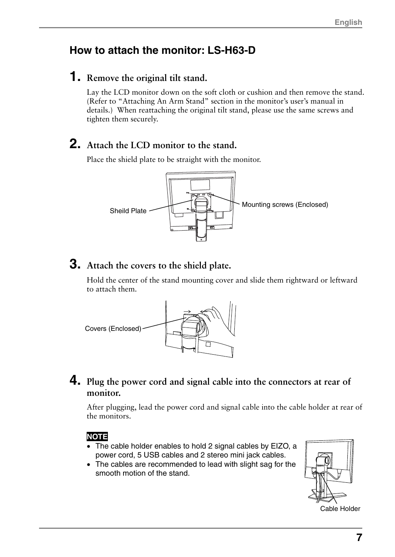## **How to attach the monitor: LS-H63-D**

## **1. Remove the original tilt stand.**

Lay the LCD monitor down on the soft cloth or cushion and then remove the stand. (Refer to "Attaching An Arm Stand" section in the monitor's user's manual in details.) When reattaching the original tilt stand, please use the same screws and tighten them securely.

## **2. Attach the LCD monitor to the stand.**

Place the shield plate to be straight with the monitor.



## **3. Attach the covers to the shield plate.**

Hold the center of the stand mounting cover and slide them rightward or leftward to attach them.



## **4. Plug the power cord and signal cable into the connectors at rear of monitor.**

After plugging, lead the power cord and signal cable into the cable holder at rear of the monitors.

## **NOTE**

- The cable holder enables to hold 2 signal cables by EIZO, a power cord, 5 USB cables and 2 stereo mini jack cables.
- The cables are recommended to lead with slight sag for the smooth motion of the stand.



**7**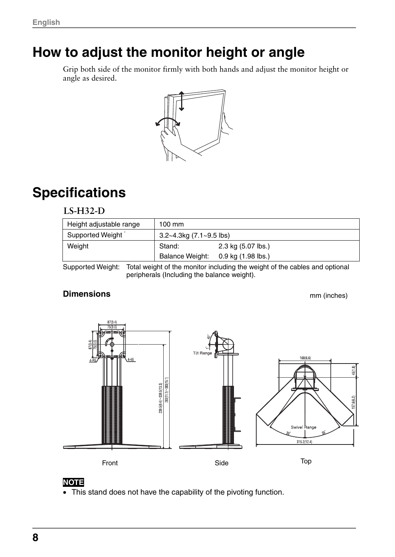## **How to adjust the monitor height or angle**

Grip both side of the monitor firmly with both hands and adjust the monitor height or angle as desired.



## **Specifications**

#### **LS-H32-D**

| Height adjustable range | 100 mm                     |                    |
|-------------------------|----------------------------|--------------------|
| Supported Weight        | $3.2~4.3$ kg (7.1~9.5 lbs) |                    |
| Weight                  | Stand:                     | 2.3 kg (5.07 lbs.) |
|                         | <b>Balance Weight:</b>     | 0.9 kg (1.98 lbs.) |

Supported Weight: Total weight of the monitor including the weight of the cables and optional peripherals (Including the balance weight).

#### **Dimensions**

mm (inches)





• This stand does not have the capability of the pivoting function.